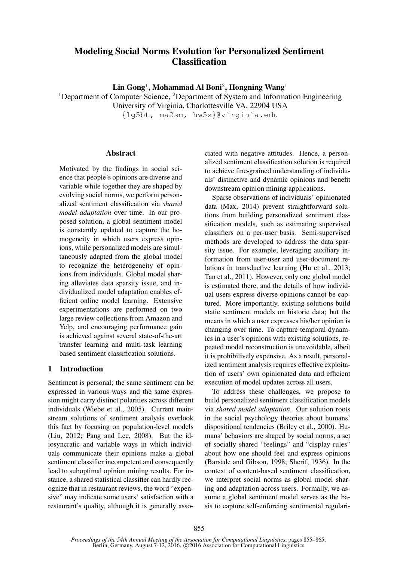# Modeling Social Norms Evolution for Personalized Sentiment **Classification**

 $\mathbf{Lin}$  Gong<sup>1</sup>, Mohammad Al Boni<sup>2</sup>, Hongning Wang<sup>1</sup>

<sup>1</sup>Department of Computer Science, <sup>2</sup>Department of System and Information Engineering

University of Virginia, Charlottesville VA, 22904 USA

{lg5bt, ma2sm, hw5x}@virginia.edu

### Abstract

Motivated by the findings in social science that people's opinions are diverse and variable while together they are shaped by evolving social norms, we perform personalized sentiment classification via *shared model adaptation* over time. In our proposed solution, a global sentiment model is constantly updated to capture the homogeneity in which users express opinions, while personalized models are simultaneously adapted from the global model to recognize the heterogeneity of opinions from individuals. Global model sharing alleviates data sparsity issue, and individualized model adaptation enables efficient online model learning. Extensive experimentations are performed on two large review collections from Amazon and Yelp, and encouraging performance gain is achieved against several state-of-the-art transfer learning and multi-task learning based sentiment classification solutions.

## 1 Introduction

Sentiment is personal; the same sentiment can be expressed in various ways and the same expression might carry distinct polarities across different individuals (Wiebe et al., 2005). Current mainstream solutions of sentiment analysis overlook this fact by focusing on population-level models (Liu, 2012; Pang and Lee, 2008). But the idiosyncratic and variable ways in which individuals communicate their opinions make a global sentiment classifier incompetent and consequently lead to suboptimal opinion mining results. For instance, a shared statistical classifier can hardly recognize that in restaurant reviews, the word "expensive" may indicate some users' satisfaction with a restaurant's quality, although it is generally associated with negative attitudes. Hence, a personalized sentiment classification solution is required to achieve fine-grained understanding of individuals' distinctive and dynamic opinions and benefit downstream opinion mining applications.

Sparse observations of individuals' opinionated data (Max, 2014) prevent straightforward solutions from building personalized sentiment classification models, such as estimating supervised classifiers on a per-user basis. Semi-supervised methods are developed to address the data sparsity issue. For example, leveraging auxiliary information from user-user and user-document relations in transductive learning (Hu et al., 2013; Tan et al., 2011). However, only one global model is estimated there, and the details of how individual users express diverse opinions cannot be captured. More importantly, existing solutions build static sentiment models on historic data; but the means in which a user expresses his/her opinion is changing over time. To capture temporal dynamics in a user's opinions with existing solutions, repeated model reconstruction is unavoidable, albeit it is prohibitively expensive. As a result, personalized sentiment analysis requires effective exploitation of users' own opinionated data and efficient execution of model updates across all users.

To address these challenges, we propose to build personalized sentiment classification models via *shared model adaptation*. Our solution roots in the social psychology theories about humans' dispositional tendencies (Briley et al., 2000). Humans' behaviors are shaped by social norms, a set of socially shared "feelings" and "display rules" about how one should feel and express opinions (Barsäde and Gibson, 1998; Sherif, 1936). In the context of content-based sentiment classification, we interpret social norms as global model sharing and adaptation across users. Formally, we assume a global sentiment model serves as the basis to capture self-enforcing sentimental regulari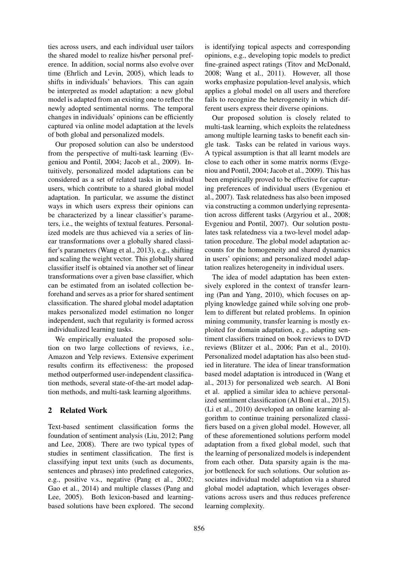ties across users, and each individual user tailors the shared model to realize his/her personal preference. In addition, social norms also evolve over time (Ehrlich and Levin, 2005), which leads to shifts in individuals' behaviors. This can again be interpreted as model adaptation: a new global model is adapted from an existing one to reflect the newly adopted sentimental norms. The temporal changes in individuals' opinions can be efficiently captured via online model adaptation at the levels of both global and personalized models.

Our proposed solution can also be understood from the perspective of multi-task learning (Evgeniou and Pontil, 2004; Jacob et al., 2009). Intuitively, personalized model adaptations can be considered as a set of related tasks in individual users, which contribute to a shared global model adaptation. In particular, we assume the distinct ways in which users express their opinions can be characterized by a linear classifier's parameters, i.e., the weights of textual features. Personalized models are thus achieved via a series of linear transformations over a globally shared classifier's parameters (Wang et al., 2013), e.g., shifting and scaling the weight vector. This globally shared classifier itself is obtained via another set of linear transformations over a given base classifier, which can be estimated from an isolated collection beforehand and serves as a prior for shared sentiment classification. The shared global model adaptation makes personalized model estimation no longer independent, such that regularity is formed across individualized learning tasks.

We empirically evaluated the proposed solution on two large collections of reviews, i.e., Amazon and Yelp reviews. Extensive experiment results confirm its effectiveness: the proposed method outperformed user-independent classification methods, several state-of-the-art model adaption methods, and multi-task learning algorithms.

## 2 Related Work

Text-based sentiment classification forms the foundation of sentiment analysis (Liu, 2012; Pang and Lee, 2008). There are two typical types of studies in sentiment classification. The first is classifying input text units (such as documents, sentences and phrases) into predefined categories, e.g., positive v.s., negative (Pang et al., 2002; Gao et al., 2014) and multiple classes (Pang and Lee, 2005). Both lexicon-based and learningbased solutions have been explored. The second

is identifying topical aspects and corresponding opinions, e.g., developing topic models to predict fine-grained aspect ratings (Titov and McDonald, 2008; Wang et al., 2011). However, all those works emphasize population-level analysis, which applies a global model on all users and therefore fails to recognize the heterogeneity in which different users express their diverse opinions.

Our proposed solution is closely related to multi-task learning, which exploits the relatedness among multiple learning tasks to benefit each single task. Tasks can be related in various ways. A typical assumption is that all learnt models are close to each other in some matrix norms (Evgeniou and Pontil, 2004; Jacob et al., 2009). This has been empirically proved to be effective for capturing preferences of individual users (Evgeniou et al., 2007). Task relatedness has also been imposed via constructing a common underlying representation across different tasks (Argyriou et al., 2008; Evgeniou and Pontil, 2007). Our solution postulates task relatedness via a two-level model adaptation procedure. The global model adaptation accounts for the homogeneity and shared dynamics in users' opinions; and personalized model adaptation realizes heterogeneity in individual users.

The idea of model adaptation has been extensively explored in the context of transfer learning (Pan and Yang, 2010), which focuses on applying knowledge gained while solving one problem to different but related problems. In opinion mining community, transfer learning is mostly exploited for domain adaptation, e.g., adapting sentiment classifiers trained on book reviews to DVD reviews (Blitzer et al., 2006; Pan et al., 2010). Personalized model adaptation has also been studied in literature. The idea of linear transformation based model adaptation is introduced in (Wang et al., 2013) for personalized web search. Al Boni et al. applied a similar idea to achieve personalized sentiment classification (Al Boni et al., 2015). (Li et al., 2010) developed an online learning algorithm to continue training personalized classifiers based on a given global model. However, all of these aforementioned solutions perform model adaptation from a fixed global model, such that the learning of personalized models is independent from each other. Data sparsity again is the major bottleneck for such solutions. Our solution associates individual model adaptation via a shared global model adaptation, which leverages observations across users and thus reduces preference learning complexity.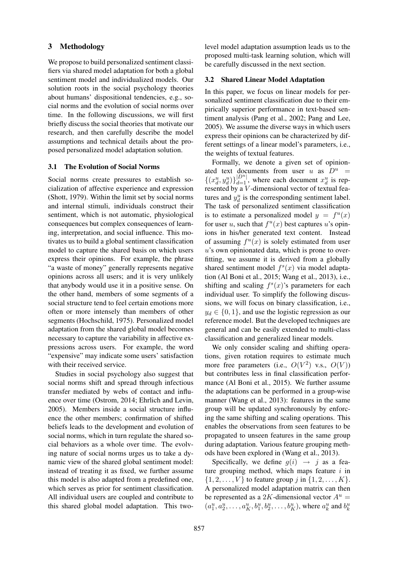## 3 Methodology

We propose to build personalized sentiment classifiers via shared model adaptation for both a global sentiment model and individualized models. Our solution roots in the social psychology theories about humans' dispositional tendencies, e.g., social norms and the evolution of social norms over time. In the following discussions, we will first briefly discuss the social theories that motivate our research, and then carefully describe the model assumptions and technical details about the proposed personalized model adaptation solution.

### 3.1 The Evolution of Social Norms

Social norms create pressures to establish socialization of affective experience and expression (Shott, 1979). Within the limit set by social norms and internal stimuli, individuals construct their sentiment, which is not automatic, physiological consequences but complex consequences of learning, interpretation, and social influence. This motivates us to build a global sentiment classification model to capture the shared basis on which users express their opinions. For example, the phrase "a waste of money" generally represents negative opinions across all users; and it is very unlikely that anybody would use it in a positive sense. On the other hand, members of some segments of a social structure tend to feel certain emotions more often or more intensely than members of other segments (Hochschild, 1975). Personalized model adaptation from the shared global model becomes necessary to capture the variability in affective expressions across users. For example, the word "expensive" may indicate some users' satisfaction with their received service.

Studies in social psychology also suggest that social norms shift and spread through infectious transfer mediated by webs of contact and influence over time (Ostrom, 2014; Ehrlich and Levin, 2005). Members inside a social structure influence the other members; confirmation of shifted beliefs leads to the development and evolution of social norms, which in turn regulate the shared social behaviors as a whole over time. The evolving nature of social norms urges us to take a dynamic view of the shared global sentiment model: instead of treating it as fixed, we further assume this model is also adapted from a predefined one, which serves as prior for sentiment classification. All individual users are coupled and contribute to this shared global model adaptation. This twolevel model adaptation assumption leads us to the proposed multi-task learning solution, which will be carefully discussed in the next section.

### 3.2 Shared Linear Model Adaptation

In this paper, we focus on linear models for personalized sentiment classification due to their empirically superior performance in text-based sentiment analysis (Pang et al., 2002; Pang and Lee, 2005). We assume the diverse ways in which users express their opinions can be characterized by different settings of a linear model's parameters, i.e., the weights of textual features.

Formally, we denote a given set of opinionated text documents from user u as  $D^u$  =  $\{(x_d^u, y_d^u)\}_{d=1}^{|D^u|}$ , where each document  $x_d^u$  is represented by a V-dimensional vector of textual features and  $y_d^u$  is the corresponding sentiment label. The task of personalized sentiment classification is to estimate a personalized model  $y = f^u(x)$ for user u, such that  $f^u(x)$  best captures u's opinions in his/her generated text content. Instead of assuming  $f^{(u)}(x)$  is solely estimated from user  $u$ 's own opinionated data, which is prone to overfitting, we assume it is derived from a globally shared sentiment model  $f<sup>s</sup>(x)$  via model adaptation (Al Boni et al., 2015; Wang et al., 2013), i.e., shifting and scaling  $f^{s}(x)$ 's parameters for each individual user. To simplify the following discussions, we will focus on binary classification, i.e.,  $y_d \in \{0, 1\}$ , and use the logistic regression as our reference model. But the developed techniques are general and can be easily extended to multi-class classification and generalized linear models.

We only consider scaling and shifting operations, given rotation requires to estimate much more free parameters (i.e.,  $O(V^2)$  v.s.,  $O(V)$ ) but contributes less in final classification performance (Al Boni et al., 2015). We further assume the adaptations can be performed in a group-wise manner (Wang et al., 2013): features in the same group will be updated synchronously by enforcing the same shifting and scaling operations. This enables the observations from seen features to be propagated to unseen features in the same group during adaptation. Various feature grouping methods have been explored in (Wang et al., 2013).

Specifically, we define  $g(i) \rightarrow j$  as a feature grouping method, which maps feature  $i$  in  $\{1, 2, \ldots, V\}$  to feature group j in  $\{1, 2, \ldots, K\}$ . A personalized model adaptation matrix can then be represented as a 2K-dimensional vector  $A^u$  =  $(a_1^u, a_2^u, \ldots, a_K^u, b_1^u, b_2^u, \ldots, b_K^u)$ , where  $a_k^u$  and  $b_k^u$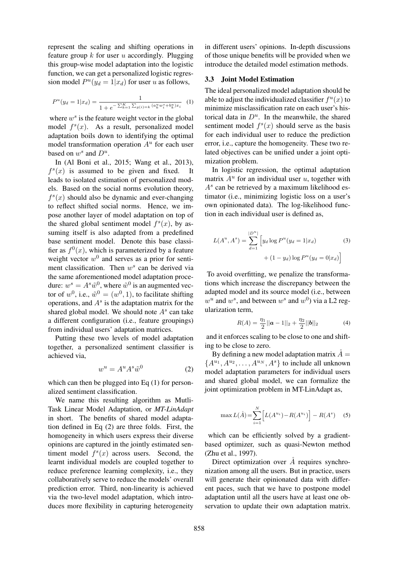represent the scaling and shifting operations in feature group  $k$  for user  $u$  accordingly. Plugging this group-wise model adaptation into the logistic function, we can get a personalized logistic regression model  $P^u(y_d = 1 | x_d)$  for user u as follows,

$$
P^{u}(y_d = 1|x_d) = \frac{1}{1 + e^{-\sum_{k=1}^{K} \sum_{g(i)=k} (a_k^u w_i^s + b_k^u) x_i}}
$$
(1)

where  $w^s$  is the feature weight vector in the global model  $f^{s}(x)$ . As a result, personalized model adaptation boils down to identifying the optimal model transformation operation  $A<sup>u</sup>$  for each user based on  $w^s$  and  $D^u$ .

In (Al Boni et al., 2015; Wang et al., 2013),  $f<sup>s</sup>(x)$  is assumed to be given and fixed. It leads to isolated estimation of personalized models. Based on the social norms evolution theory,  $f<sup>s</sup>(x)$  should also be dynamic and ever-changing to reflect shifted social norms. Hence, we impose another layer of model adaptation on top of the shared global sentiment model  $f^{s}(x)$ , by assuming itself is also adapted from a predefined base sentiment model. Denote this base classifier as  $f^{0}(x)$ , which is parameterized by a feature weight vector  $w^0$  and serves as a prior for sentiment classification. Then  $w^s$  can be derived via the same aforementioned model adaptation procedure:  $w^s = A^s \tilde{w}^0$ , where  $\tilde{w}^0$  is an augmented vector of  $w^0$ , i.e.,  $\tilde{w}^0 = (w^0, 1)$ , to facilitate shifting operations, and  $A<sup>s</sup>$  is the adaptation matrix for the shared global model. We should note  $A<sup>s</sup>$  can take a different configuration (i.e., feature groupings) from individual users' adaptation matrices.

Putting these two levels of model adaptation together, a personalized sentiment classifier is achieved via,

$$
w^u = A^u A^s \tilde{w}^0 \tag{2}
$$

which can then be plugged into Eq  $(1)$  for personalized sentiment classification.

We name this resulting algorithm as Mutli-Task Linear Model Adaptation, or *MT-LinAdapt* in short. The benefits of shared model adaptation defined in Eq (2) are three folds. First, the homogeneity in which users express their diverse opinions are captured in the jointly estimated sentiment model  $f<sup>s</sup>(x)$  across users. Second, the learnt individual models are coupled together to reduce preference learning complexity, i.e., they collaboratively serve to reduce the models' overall prediction error. Third, non-linearity is achieved via the two-level model adaptation, which introduces more flexibility in capturing heterogeneity in different users' opinions. In-depth discussions of those unique benefits will be provided when we introduce the detailed model estimation methods.

#### 3.3 Joint Model Estimation

The ideal personalized model adaptation should be able to adjust the individualized classifier  $f^u(x)$  to minimize misclassification rate on each user's historical data in  $D^u$ . In the meanwhile, the shared sentiment model  $f<sup>s</sup>(x)$  should serve as the basis for each individual user to reduce the prediction error, i.e., capture the homogeneity. These two related objectives can be unified under a joint optimization problem.

In logistic regression, the optimal adaptation matrix  $A^u$  for an individual user  $u$ , together with  $A<sup>s</sup>$  can be retrieved by a maximum likelihood estimator (i.e., minimizing logistic loss on a user's own opinionated data). The log-likelihood function in each individual user is defined as,

$$
L(A^u, A^s) = \sum_{d=1}^{|D^u|} \left[ y_d \log P^u(y_d = 1 | x_d) \right] + (1 - y_d) \log P^u(y_d = 0 | x_d) \right]
$$
(3)

To avoid overfitting, we penalize the transformations which increase the discrepancy between the adapted model and its source model (i.e., between  $w^u$  and  $w^s$ , and between  $w^s$  and  $w^0$ ) via a L2 regularization term,

$$
R(A) = \frac{\eta_1}{2} ||\mathbf{a} - 1||_2 + \frac{\eta_2}{2} ||\mathbf{b}||_2
$$
 (4)

and it enforces scaling to be close to one and shifting to be close to zero.

By defining a new model adaptation matrix  $\AA =$  $\{A^{u_1}, A^{u_2}, \ldots, A^{u_N}, A^s\}$  to include all unknown model adaptation parameters for individual users and shared global model, we can formalize the joint optimization problem in MT-LinAdapt as,

$$
\max L(\mathring{A}) = \sum_{i=1}^{N} \left[ L(A^{u_i}) - R(A^{u_i}) \right] - R(A^s) \quad (5)
$$

which can be efficiently solved by a gradientbased optimizer, such as quasi-Newton method (Zhu et al., 1997).

Direct optimization over  $\AA$  requires synchronization among all the users. But in practice, users will generate their opinionated data with different paces, such that we have to postpone model adaptation until all the users have at least one observation to update their own adaptation matrix.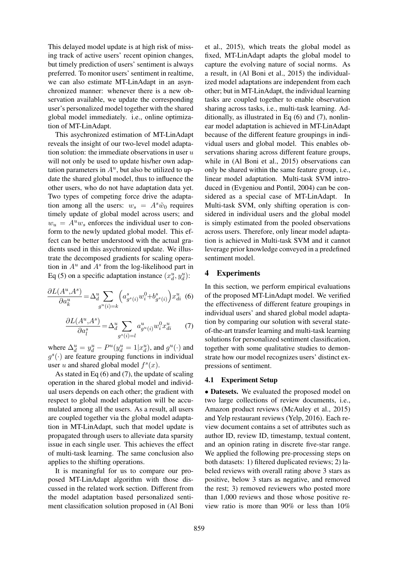This delayed model update is at high risk of missing track of active users' recent opinion changes, but timely prediction of users' sentiment is always preferred. To monitor users' sentiment in realtime, we can also estimate MT-LinAdapt in an asynchronized manner: whenever there is a new observation available, we update the corresponding user's personalized model together with the shared global model immediately. i.e., online optimization of MT-LinAdapt.

This asychronized estimation of MT-LinAdapt reveals the insight of our two-level model adaptation solution: the immediate observations in user  $u$ will not only be used to update his/her own adaptation parameters in  $A^u$ , but also be utilized to update the shared global model, thus to influence the other users, who do not have adaptation data yet. Two types of competing force drive the adaptation among all the users:  $w_s = A^s \tilde{w}_0$  requires timely update of global model across users; and  $w_u = A^u w_s$  enforces the individual user to conform to the newly updated global model. This effect can be better understood with the actual gradients used in this asychronized update. We illustrate the decomposed gradients for scaling operation in  $A^u$  and  $A^s$  from the log-likelihood part in Eq (5) on a specific adaptation instance  $(x_d^u, y_d^u)$ :

$$
\frac{\partial L(A^u, A^s)}{\partial a_k^u} = \Delta_d^u \sum_{g^u(i) = k} \left( a_{g^s(i)}^s w_i^0 + b_{g^s(i)}^s \right) x_{di}^u \tag{6}
$$

$$
\frac{\partial L(A^u, A^s)}{\partial a_l^s} = \Delta_d^u \sum_{g^s(i) = l} a_{g^u(i)}^u w_i^0 x_{di}^u \qquad (7)
$$

where  $\Delta_d^u = y_d^u - P^u(y_d^u = 1 | x_d^u)$ , and  $g^u(\cdot)$  and  $g^{s}(\cdot)$  are feature grouping functions in individual user u and shared global model  $f^s(x)$ .

As stated in Eq (6) and (7), the update of scaling operation in the shared global model and individual users depends on each other; the gradient with respect to global model adaptation will be accumulated among all the users. As a result, all users are coupled together via the global model adaptation in MT-LinAdapt, such that model update is propagated through users to alleviate data sparsity issue in each single user. This achieves the effect of multi-task learning. The same conclusion also applies to the shifting operations.

It is meaningful for us to compare our proposed MT-LinAdapt algorithm with those discussed in the related work section. Different from the model adaptation based personalized sentiment classification solution proposed in (Al Boni et al., 2015), which treats the global model as fixed, MT-LinAdapt adapts the global model to capture the evolving nature of social norms. As a result, in (Al Boni et al., 2015) the individualized model adaptations are independent from each other; but in MT-LinAdapt, the individual learning tasks are coupled together to enable observation sharing across tasks, i.e., multi-task learning. Additionally, as illustrated in Eq (6) and (7), nonlinear model adaptation is achieved in MT-LinAdapt because of the different feature groupings in individual users and global model. This enables observations sharing across different feature groups, while in (Al Boni et al., 2015) observations can only be shared within the same feature group, i.e., linear model adaptation. Multi-task SVM introduced in (Evgeniou and Pontil, 2004) can be considered as a special case of MT-LinAdapt. In Multi-task SVM, only shifting operation is considered in individual users and the global model is simply estimated from the pooled observations across users. Therefore, only linear model adaptation is achieved in Multi-task SVM and it cannot leverage prior knowledge conveyed in a predefined sentiment model.

## 4 Experiments

In this section, we perform empirical evaluations of the proposed MT-LinAdapt model. We verified the effectiveness of different feature groupings in individual users' and shared global model adaptation by comparing our solution with several stateof-the-art transfer learning and multi-task learning solutions for personalized sentiment classification, together with some qualitative studies to demonstrate how our model recognizes users' distinct expressions of sentiment.

#### 4.1 Experiment Setup

• Datesets. We evaluated the proposed model on two large collections of review documents, i.e., Amazon product reviews (McAuley et al., 2015) and Yelp restaurant reviews (Yelp, 2016). Each review document contains a set of attributes such as author ID, review ID, timestamp, textual content, and an opinion rating in discrete five-star range. We applied the following pre-processing steps on both datasets: 1) filtered duplicated reviews; 2) labeled reviews with overall rating above 3 stars as positive, below 3 stars as negative, and removed the rest; 3) removed reviewers who posted more than 1,000 reviews and those whose positive review ratio is more than 90% or less than 10%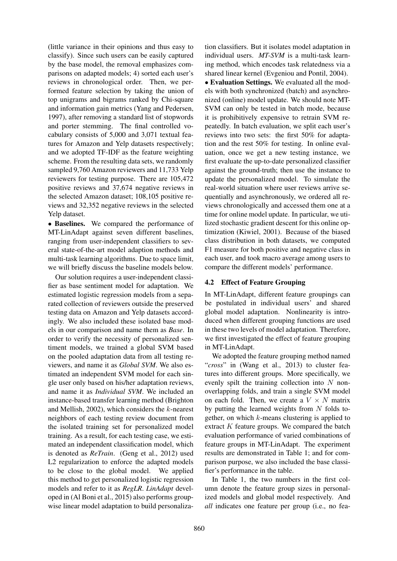(little variance in their opinions and thus easy to classify). Since such users can be easily captured by the base model, the removal emphasizes comparisons on adapted models; 4) sorted each user's reviews in chronological order. Then, we performed feature selection by taking the union of top unigrams and bigrams ranked by Chi-square and information gain metrics (Yang and Pedersen, 1997), after removing a standard list of stopwords and porter stemming. The final controlled vocabulary consists of 5,000 and 3,071 textual features for Amazon and Yelp datasets respectively; and we adopted TF-IDF as the feature weighting scheme. From the resulting data sets, we randomly sampled 9,760 Amazon reviewers and 11,733 Yelp reviewers for testing purpose. There are 105,472 positive reviews and 37,674 negative reviews in the selected Amazon dataset; 108,105 positive reviews and 32,352 negative reviews in the selected Yelp dataset.

• Baselines. We compared the performance of MT-LinAdapt against seven different baselines, ranging from user-independent classifiers to several state-of-the-art model adaption methods and multi-task learning algorithms. Due to space limit, we will briefly discuss the baseline models below.

Our solution requires a user-independent classifier as base sentiment model for adaptation. We estimated logistic regression models from a separated collection of reviewers outside the preserved testing data on Amazon and Yelp datasets accordingly. We also included these isolated base models in our comparison and name them as *Base*. In order to verify the necessity of personalized sentiment models, we trained a global SVM based on the pooled adaptation data from all testing reviewers, and name it as *Global SVM*. We also estimated an independent SVM model for each single user only based on his/her adaptation reviews, and name it as *Individual SVM*. We included an instance-based transfer learning method (Brighton and Mellish, 2002), which considers the  $k$ -nearest neighbors of each testing review document from the isolated training set for personalized model training. As a result, for each testing case, we estimated an independent classification model, which is denoted as *ReTrain*. (Geng et al., 2012) used L2 regularization to enforce the adapted models to be close to the global model. We applied this method to get personalized logistic regression models and refer to it as *RegLR*. *LinAdapt* developed in (Al Boni et al., 2015) also performs groupwise linear model adaptation to build personalization classifiers. But it isolates model adaptation in individual users. *MT-SVM* is a multi-task learning method, which encodes task relatedness via a shared linear kernel (Evgeniou and Pontil, 2004).

• Evaluation Settings. We evaluated all the models with both synchronized (batch) and asynchronized (online) model update. We should note MT-SVM can only be tested in batch mode, because it is prohibitively expensive to retrain SVM repeatedly. In batch evaluation, we split each user's reviews into two sets: the first 50% for adaptation and the rest 50% for testing. In online evaluation, once we get a new testing instance, we first evaluate the up-to-date personalized classifier against the ground-truth; then use the instance to update the personalized model. To simulate the real-world situation where user reviews arrive sequentially and asynchronously, we ordered all reviews chronologically and accessed them one at a time for online model update. In particular, we utilized stochastic gradient descent for this online optimization (Kiwiel, 2001). Because of the biased class distribution in both datasets, we computed F1 measure for both positive and negative class in each user, and took macro average among users to compare the different models' performance.

### 4.2 Effect of Feature Grouping

In MT-LinAdapt, different feature groupings can be postulated in individual users' and shared global model adaptation. Nonlinearity is introduced when different grouping functions are used in these two levels of model adaptation. Therefore, we first investigated the effect of feature grouping in MT-LinAdapt.

We adopted the feature grouping method named "*cross*" in (Wang et al., 2013) to cluster features into different groups. More specifically, we evenly spilt the training collection into  $N$  nonoverlapping folds, and train a single SVM model on each fold. Then, we create a  $V \times N$  matrix by putting the learned weights from  $N$  folds together, on which  $k$ -means clustering is applied to extract  $K$  feature groups. We compared the batch evaluation performance of varied combinations of feature groups in MT-LinAdapt. The experiment results are demonstrated in Table 1; and for comparison purpose, we also included the base classifier's performance in the table.

In Table 1, the two numbers in the first column denote the feature group sizes in personalized models and global model respectively. And *all* indicates one feature per group (i.e., no fea-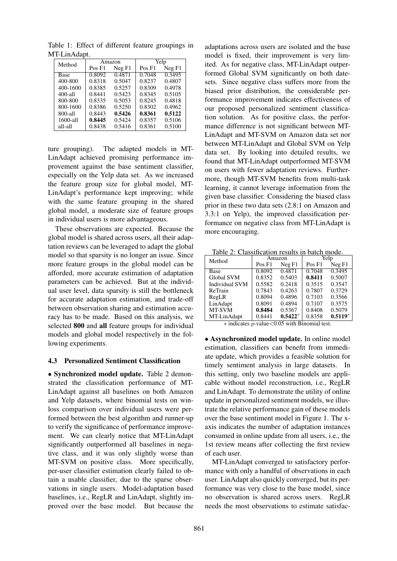| Method       |        | Amazon | Yelp   |        |  |
|--------------|--------|--------|--------|--------|--|
|              | Pos F1 | Neg F1 | Pos F1 | Neg F1 |  |
| Base         | 0.8092 | 0.4871 | 0.7048 | 0.3495 |  |
| 400-800      | 0.8318 | 0.5047 | 0.8237 | 0.4807 |  |
| 400-1600     | 0.8385 | 0.5257 | 0.8309 | 0.4978 |  |
| 400-all      | 0.8441 | 0.5423 | 0.8345 | 0.5105 |  |
| 800-800      | 0.8335 | 0.5053 | 0.8245 | 0.4818 |  |
| 800-1600     | 0.8386 | 0.5250 | 0.8302 | 0.4962 |  |
| 800-all      | 0.8443 | 0.5426 | 0.8361 | 0.5122 |  |
| $1600 - a11$ | 0.8445 | 0.5424 | 0.8357 | 0.5106 |  |
| all-all      | 0.8438 | 0.5416 | 0.8361 | 0.5100 |  |

Table 1: Effect of different feature groupings in MT-LinAdapt.

ture grouping). The adapted models in MT-LinAdapt achieved promising performance improvement against the base sentiment classifier, especially on the Yelp data set. As we increased the feature group size for global model, MT-LinAdapt's performance kept improving; while with the same feature grouping in the shared global model, a moderate size of feature groups in individual users is more advantageous.

These observations are expected. Because the global model is shared across users, all their adaptation reviews can be leveraged to adapt the global model so that sparsity is no longer an issue. Since more feature groups in the global model can be afforded, more accurate estimation of adaptation parameters can be achieved. But at the individual user level, data sparsity is still the bottleneck for accurate adaptation estimation, and trade-off between observation sharing and estimation accuracy has to be made. Based on this analysis, we selected 800 and all feature groups for individual models and global model respectively in the following experiments.

### 4.3 Personalized Sentiment Classification

• Synchronized model update. Table 2 demonstrated the classification performance of MT-LinAdapt against all baselines on both Amazon and Yelp datasets, where binomial tests on winloss comparison over individual users were performed between the best algorithm and runner-up to verify the significance of performance improvement. We can clearly notice that MT-LinAdapt significantly outperformed all baselines in negative class, and it was only slightly worse than MT-SVM on positive class. More specifically, per-user classifier estimation clearly failed to obtain a usable classifier, due to the sparse observations in single users. Model-adaptation based baselines, i.e., RegLR and LinAdapt, slightly improved over the base model. But because the

adaptations across users are isolated and the base model is fixed, their improvement is very limited. As for negative class, MT-LinAdapt outperformed Global SVM significantly on both datesets. Since negative class suffers more from the biased prior distribution, the considerable performance improvement indicates effectiveness of our proposed personalized sentiment classification solution. As for positive class, the performance difference is not significant between MT-LinAdapt and MT-SVM on Amazon data set nor between MT-LinAdapt and Global SVM on Yelp data set. By looking into detailed results, we found that MT-LinAdapt outperformed MT-SVM on users with fewer adaptation reviews. Furthermore, though MT-SVM benefits from multi-task learning, it cannot leverage information from the given base classifier. Considering the biased class prior in these two data sets (2.8:1 on Amazon and 3.3:1 on Yelp), the improved classification performance on negative class from MT-LinAdapt is more encouraging.

Table 2: Classification results in batch mode.

| Method         |                   | Amazon            | Yelp              |           |  |  |
|----------------|-------------------|-------------------|-------------------|-----------|--|--|
|                | Pos <sub>F1</sub> | Neg <sub>F1</sub> | Pos <sub>F1</sub> | Neg F1    |  |  |
| Base           | 0.8092            | 0.4871            | 0.7048            | 0.3495    |  |  |
| Global SVM     | 0.8352            | 0.5403            | 0.8411            | 0.5007    |  |  |
| Individual SVM | 0.5582            | 0.2418            | 0.3515            | 0.3547    |  |  |
| ReTrain        | 0.7843            | 0.4263            | 0.7807            | 0.3729    |  |  |
| RegLR          | 0.8094            | 0.4896            | 0.7103            | 0.3566    |  |  |
| LinAdapt       | 0.8091            | 0.4894            | 0.7107            | 0.3575    |  |  |
| MT-SVM         | 0.8484            | 0.5367            | 0.8408            | 0.5079    |  |  |
| MT-LinAdapt    | 0.8441            | $0.5422*$         | 0.8358            | $0.5119*$ |  |  |

 $\overline{\ast}$  indicates p-value<0.05 with Binomial test.

• Asynchronized model update. In online model estimation, classifiers can benefit from immediate update, which provides a feasible solution for timely sentiment analysis in large datasets. In this setting, only two baseline models are applicable without model reconstruction, i.e., RegLR and LinAdapt. To demonstrate the utility of online update in personalized sentiment models, we illustrate the relative performance gain of these models over the base sentiment model in Figure 1. The xaxis indicates the number of adaptation instances consumed in online update from all users, i.e., the 1st review means after collecting the first review of each user.

MT-LinAdapt converged to satisfactory performance with only a handful of observations in each user. LinAdapt also quickly converged, but its performance was very close to the base model, since no observation is shared across users. RegLR needs the most observations to estimate satisfac-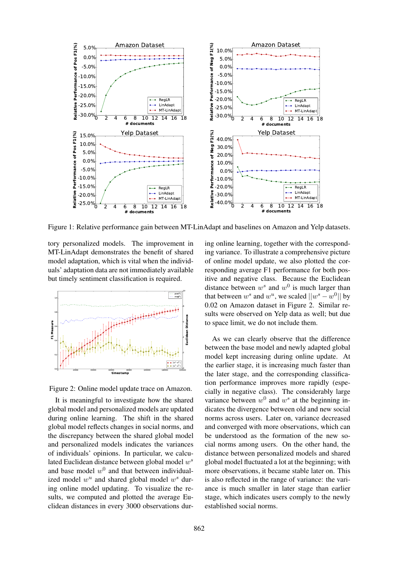

Figure 1: Relative performance gain between MT-LinAdapt and baselines on Amazon and Yelp datasets.

tory personalized models. The improvement in MT-LinAdapt demonstrates the benefit of shared model adaptation, which is vital when the individuals' adaptation data are not immediately available but timely sentiment classification is required.



Figure 2: Online model update trace on Amazon.

It is meaningful to investigate how the shared global model and personalized models are updated during online learning. The shift in the shared global model reflects changes in social norms, and the discrepancy between the shared global model and personalized models indicates the variances of individuals' opinions. In particular, we calculated Euclidean distance between global model  $w^s$ and base model  $w^0$  and that between individualized model  $w^u$  and shared global model  $w^s$  during online model updating. To visualize the results, we computed and plotted the average Euclidean distances in every 3000 observations dur-

ing online learning, together with the corresponding variance. To illustrate a comprehensive picture of online model update, we also plotted the corresponding average F1 performance for both positive and negative class. Because the Euclidean distance between  $w^s$  and  $w^0$  is much larger than that between  $w^s$  and  $w^u$ , we scaled  $||w^s - w^0||$  by 0.02 on Amazon dataset in Figure 2. Similar results were observed on Yelp data as well; but due to space limit, we do not include them.

As we can clearly observe that the difference between the base model and newly adapted global model kept increasing during online update. At the earlier stage, it is increasing much faster than the later stage, and the corresponding classification performance improves more rapidly (especially in negative class). The considerably large variance between  $w^0$  and  $w^s$  at the beginning indicates the divergence between old and new social norms across users. Later on, variance decreased and converged with more observations, which can be understood as the formation of the new social norms among users. On the other hand, the distance between personalized models and shared global model fluctuated a lot at the beginning; with more observations, it became stable later on. This is also reflected in the range of variance: the variance is much smaller in later stage than earlier stage, which indicates users comply to the newly established social norms.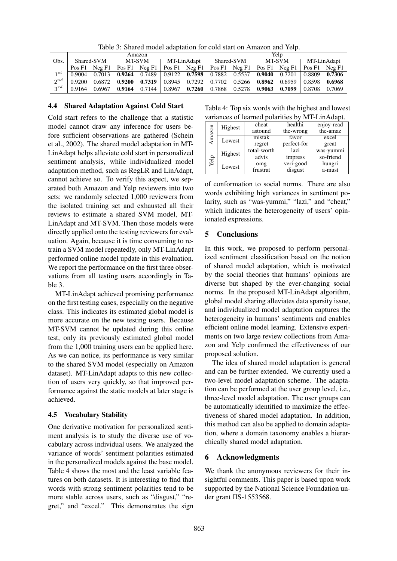|          | Amazon               |          |                                | Yeln |            |                                                                                                             |        |  |             |  |        |        |
|----------|----------------------|----------|--------------------------------|------|------------|-------------------------------------------------------------------------------------------------------------|--------|--|-------------|--|--------|--------|
| Obs.     | MT-SVM<br>Shared-SVM |          | MT-LinAdapt                    |      | Shared-SVM |                                                                                                             | MT-SVM |  | MT-LinAdapt |  |        |        |
|          |                      |          |                                |      |            | Pos F1 Neg F1   Pos F1 Neg F1   Pos F1 Neg F1   Pos F1 Neg F1   Pos F1 Neg F1   Pos F1 Neg F1               |        |  |             |  |        |        |
| $1^{st}$ |                      |          |                                |      |            | $0.9004$ $0.7013$ $0.9264$ $0.7489$ $0.9122$ $0.7598$ $0.7882$ $0.5537$ $0.9040$ $0.7201$ $0.8809$ $0.7306$ |        |  |             |  |        |        |
| $2^{nd}$ | 0.9200               |          | $0.6872 \pm 0.9200 \pm 0.7319$ |      |            | $\vert$ 0.8945 0.7292 $\vert$ 0.7702 0.5266 $\vert$ <b>0.8962</b> 0.6959 $\vert$ 0.8598                     |        |  |             |  |        | 0.6968 |
| $2^{rd}$ | 0.9164               | $0.6967$ |                                |      |            | 0.9164 $0.7144$   0.8967 $0.7260$   0.7868 $0.5278$   0.9063 $0.7099$                                       |        |  |             |  | 0.8708 | 0.7069 |

Table 3: Shared model adaptation for cold start on Amazon and Yelp.

## 4.4 Shared Adaptation Against Cold Start

Cold start refers to the challenge that a statistic model cannot draw any inference for users before sufficient observations are gathered (Schein et al., 2002). The shared model adaptation in MT-LinAdapt helps alleviate cold start in personalized sentiment analysis, while individualized model adaptation method, such as RegLR and LinAdapt, cannot achieve so. To verify this aspect, we separated both Amazon and Yelp reviewers into two sets: we randomly selected 1,000 reviewers from the isolated training set and exhausted all their reviews to estimate a shared SVM model, MT-LinAdapt and MT-SVM. Then those models were directly applied onto the testing reviewers for evaluation. Again, because it is time consuming to retrain a SVM model repeatedly, only MT-LinAdapt performed online model update in this evaluation. We report the performance on the first three observations from all testing users accordingly in Table 3.

MT-LinAdapt achieved promising performance on the first testing cases, especially on the negative class. This indicates its estimated global model is more accurate on the new testing users. Because MT-SVM cannot be updated during this online test, only its previously estimated global model from the 1,000 training users can be applied here. As we can notice, its performance is very similar to the shared SVM model (especially on Amazon dataset). MT-LinAdapt adapts to this new collection of users very quickly, so that improved performance against the static models at later stage is achieved.

## 4.5 Vocabulary Stability

One derivative motivation for personalized sentiment analysis is to study the diverse use of vocabulary across individual users. We analyzed the variance of words' sentiment polarities estimated in the personalized models against the base model. Table 4 shows the most and the least variable features on both datasets. It is interesting to find that words with strong sentiment polarities tend to be more stable across users, such as "disgust," "regret," and "excel." This demonstrates the sign

Table 4: Top six words with the highest and lowest variances of learned polarities by MT-LinAdapt.

| Amazon | Highest | cheat       | healthi     | enjoy-read |  |  |  |
|--------|---------|-------------|-------------|------------|--|--|--|
|        |         | astound     | the-wrong   | the-amaz   |  |  |  |
|        | Lowest  | mistak      | favor       | excel      |  |  |  |
|        |         | regret      | perfect-for | great      |  |  |  |
| Yelp   | Highest | total-worth | lazi        | was-yummi  |  |  |  |
|        |         | advis       | impress     | so-friend  |  |  |  |
|        | Lowest  | omg         | veri-good   | hungri     |  |  |  |
|        |         | frustrat    | disgust     | a-must     |  |  |  |
|        |         |             |             |            |  |  |  |

of conformation to social norms. There are also words exhibiting high variances in sentiment polarity, such as "was-yummi," "lazi," and "cheat," which indicates the heterogeneity of users' opinionated expressions.

## 5 Conclusions

In this work, we proposed to perform personalized sentiment classification based on the notion of shared model adaptation, which is motivated by the social theories that humans' opinions are diverse but shaped by the ever-changing social norms. In the proposed MT-LinAdapt algorithm, global model sharing alleviates data sparsity issue, and individualized model adaptation captures the heterogeneity in humans' sentiments and enables efficient online model learning. Extensive experiments on two large review collections from Amazon and Yelp confirmed the effectiveness of our proposed solution.

The idea of shared model adaptation is general and can be further extended. We currently used a two-level model adaptation scheme. The adaptation can be performed at the user group level, i.e., three-level model adaptation. The user groups can be automatically identified to maximize the effectiveness of shared model adaptation. In addition, this method can also be applied to domain adaptation, where a domain taxonomy enables a hierarchically shared model adaptation.

## 6 Acknowledgments

We thank the anonymous reviewers for their insightful comments. This paper is based upon work supported by the National Science Foundation under grant IIS-1553568.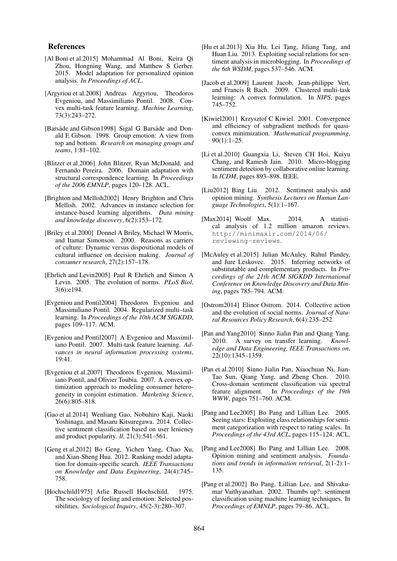#### References

- [Al Boni et al.2015] Mohammad Al Boni, Keira Qi Zhou, Hongning Wang, and Matthew S Gerber. 2015. Model adaptation for personalized opinion analysis. *In Proceedings of ACL*.
- [Argyriou et al.2008] Andreas Argyriou, Theodoros Evgeniou, and Massimiliano Pontil. 2008. Convex multi-task feature learning. *Machine Learning*, 73(3):243–272.
- [Barsäde and Gibson1998] Sigal G Barsäde and Donald E Gibson. 1998. Group emotion: A view from top and bottom. *Research on managing groups and teams*, 1:81–102.
- [Blitzer et al.2006] John Blitzer, Ryan McDonald, and Fernando Pereira. 2006. Domain adaptation with structural correspondence learning. In *Proceedings of the 2006 EMNLP*, pages 120–128. ACL.
- [Brighton and Mellish2002] Henry Brighton and Chris Mellish. 2002. Advances in instance selection for instance-based learning algorithms. *Data mining and knowledge discovery*, 6(2):153–172.
- [Briley et al.2000] Donnel A Briley, Michael W Morris, and Itamar Simonson. 2000. Reasons as carriers of culture: Dynamic versus dispositional models of cultural influence on decision making. *Journal of consumer research*, 27(2):157–178.
- [Ehrlich and Levin2005] Paul R Ehrlich and Simon A Levin. 2005. The evolution of norms. *PLoS Biol*, 3(6):e194.
- [Evgeniou and Pontil2004] Theodoros Evgeniou and Massimiliano Pontil. 2004. Regularized multi–task learning. In *Proceedings of the 10th ACM SIGKDD*, pages 109–117. ACM.
- [Evgeniou and Pontil2007] A Evgeniou and Massimiliano Pontil. 2007. Multi-task feature learning. *Advances in neural information processing systems*, 19:41.
- [Evgeniou et al.2007] Theodoros Evgeniou, Massimiliano Pontil, and Olivier Toubia. 2007. A convex optimization approach to modeling consumer heterogeneity in conjoint estimation. *Marketing Science*, 26(6):805–818.
- [Gao et al.2014] Wenliang Gao, Nobuhiro Kaji, Naoki Yoshinaga, and Masaru Kitsuregawa. 2014. Collective sentiment classification based on user leniency and product popularity. *łł*, 21(3):541–561.
- [Geng et al.2012] Bo Geng, Yichen Yang, Chao Xu, and Xian-Sheng Hua. 2012. Ranking model adaptation for domain-specific search. *IEEE Transactions on Knowledge and Data Engineering*, 24(4):745– 758.
- [Hochschild1975] Arlie Russell Hochschild. 1975. The sociology of feeling and emotion: Selected possibilities. *Sociological Inquiry*, 45(2-3):280–307.
- [Hu et al.2013] Xia Hu, Lei Tang, Jiliang Tang, and Huan Liu. 2013. Exploiting social relations for sentiment analysis in microblogging. In *Proceedings of the 6th WSDM*, pages 537–546. ACM.
- [Jacob et al.2009] Laurent Jacob, Jean-philippe Vert, and Francis R Bach. 2009. Clustered multi-task learning: A convex formulation. In *NIPS*, pages 745–752.
- [Kiwiel2001] Krzysztof C Kiwiel. 2001. Convergence and efficiency of subgradient methods for quasiconvex minimization. *Mathematical programming*, 90(1):1–25.
- [Li et al.2010] Guangxia Li, Steven CH Hoi, Kuiyu Chang, and Ramesh Jain. 2010. Micro-blogging sentiment detection by collaborative online learning. In *ICDM*, pages 893–898. IEEE.
- [Liu2012] Bing Liu. 2012. Sentiment analysis and opinion mining. *Synthesis Lectures on Human Language Technologies*, 5(1):1–167.
- [Max2014] Woolf Max. 2014. A statistical analysis of 1.2 million amazon reviews. http://minimaxir.com/2014/06/ reviewing-reviews.
- [McAuley et al.2015] Julian McAuley, Rahul Pandey, and Jure Leskovec. 2015. Inferring networks of substitutable and complementary products. In *Proceedings of the 21th ACM SIGKDD International Conference on Knowledge Discovery and Data Mining*, pages 785–794. ACM.
- [Ostrom2014] Elinor Ostrom. 2014. Collective action and the evolution of social norms. *Journal of Natural Resources Policy Research*, 6(4):235–252.
- [Pan and Yang2010] Sinno Jialin Pan and Qiang Yang. 2010. A survey on transfer learning. *Knowledge and Data Engineering, IEEE Transactions on*, 22(10):1345–1359.
- [Pan et al.2010] Sinno Jialin Pan, Xiaochuan Ni, Jian-Tao Sun, Qiang Yang, and Zheng Chen. 2010. Cross-domain sentiment classification via spectral feature alignment. In *Proceedings of the 19th WWW*, pages 751–760. ACM.
- [Pang and Lee2005] Bo Pang and Lillian Lee. 2005. Seeing stars: Exploiting class relationships for sentiment categorization with respect to rating scales. In *Proceedings of the 43rd ACL*, pages 115–124. ACL.
- [Pang and Lee2008] Bo Pang and Lillian Lee. 2008. Opinion mining and sentiment analysis. *Foundations and trends in information retrieval*, 2(1-2):1– 135.
- [Pang et al.2002] Bo Pang, Lillian Lee, and Shivakumar Vaithyanathan. 2002. Thumbs up?: sentiment classification using machine learning techniques. In *Proceedings of EMNLP*, pages 79–86. ACL.